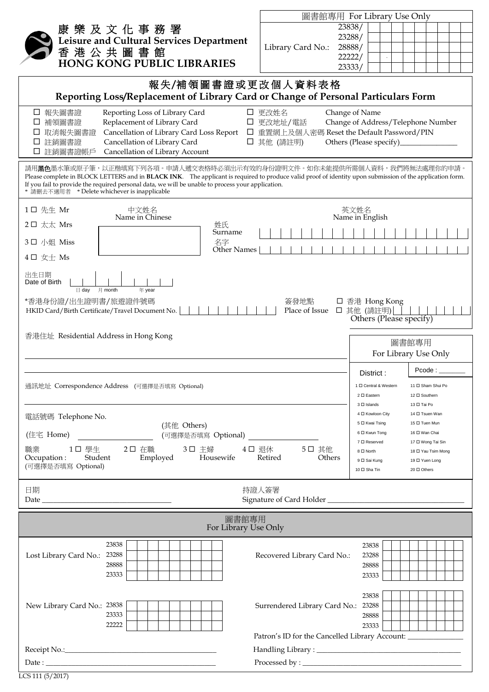|                                                                                                                                                                                                                                                                                                                                                                                                                   | 圖書館專用 For Library Use Only                                                                                                                                                        |
|-------------------------------------------------------------------------------------------------------------------------------------------------------------------------------------------------------------------------------------------------------------------------------------------------------------------------------------------------------------------------------------------------------------------|-----------------------------------------------------------------------------------------------------------------------------------------------------------------------------------|
| 康 樂 及 文 化 事 務 署                                                                                                                                                                                                                                                                                                                                                                                                   | 23838/                                                                                                                                                                            |
| Leisure and Cultural Services Department                                                                                                                                                                                                                                                                                                                                                                          | 23288/                                                                                                                                                                            |
| 香港公共圖書館                                                                                                                                                                                                                                                                                                                                                                                                           | 28888/<br>Library Card No.:<br>22222/                                                                                                                                             |
| <b>HONG KONG PUBLIC LIBRARIES</b>                                                                                                                                                                                                                                                                                                                                                                                 | 23333/                                                                                                                                                                            |
| 報失/補領圖書證或更改個人資料表格                                                                                                                                                                                                                                                                                                                                                                                                 |                                                                                                                                                                                   |
| Reporting Loss/Replacement of Library Card or Change of Personal Particulars Form                                                                                                                                                                                                                                                                                                                                 |                                                                                                                                                                                   |
| □ 報失圖書證<br>Reporting Loss of Library Card<br>□ 更改姓名<br>Change of Name<br>□ 更改地址/電話<br>□ 補領圖書證<br>Replacement of Library Card<br>Change of Address/Telephone Number<br>Cancellation of Library Card Loss Report<br>□ 重置網上及個人密碼 Reset the Default Password/PIN<br>取消報失圖書證<br>Cancellation of Library Card<br>註銷圖書證<br>Others (Please specify)<br>□ 其他 (請註明)<br>ப<br>Cancellation of Library Account<br>註銷圖書證帳戶<br>⊔ |                                                                                                                                                                                   |
| 請用 <b>黑色</b> 墨水筆或原子筆,以正楷填寫下列各項。申請人遞交表格時必須出示有效的身份證明文件。如你未能提供所需個人資料,我們將無法處理你的申請。<br>Please complete in BLOCK LETTERS and in BLACK INK. The applicant is required to produce valid proof of identity upon submission of the application form.<br>If you fail to provide the required personal data, we will be unable to process your application.<br>* 請刪去不適用者 * Delete whichever is inapplicable                   |                                                                                                                                                                                   |
| 1□ 先生 Mr<br>中文姓名<br>Name in Chinese                                                                                                                                                                                                                                                                                                                                                                               | 英文姓名<br>Name in English                                                                                                                                                           |
| 2口 太太 Mrs<br>姓氏<br>Surname                                                                                                                                                                                                                                                                                                                                                                                        |                                                                                                                                                                                   |
| 名字<br>3口 小姐 Miss<br>Other Names                                                                                                                                                                                                                                                                                                                                                                                   |                                                                                                                                                                                   |
| $4$ □ 女士 Ms                                                                                                                                                                                                                                                                                                                                                                                                       |                                                                                                                                                                                   |
| Date of Birth<br>$\boxminus$ day<br>月 month<br>年 year<br>*香港身份證/出生證明書/旅遊證件號碼<br>簽發地點<br>□ 香港 Hong Kong<br>□ 其他 (請註明)<br>Place of Issue<br>HKID Card/Birth Certificate/Travel Document No.<br>Others (Please specify)<br>香港住址 Residential Address in Hong Kong                                                                                                                                                     |                                                                                                                                                                                   |
|                                                                                                                                                                                                                                                                                                                                                                                                                   | 圖書館專用<br>For Library Use Only                                                                                                                                                     |
|                                                                                                                                                                                                                                                                                                                                                                                                                   | Pcode :<br>District:                                                                                                                                                              |
| 通訊地址 Correspondence Address (可選擇是否填寫 Optional)                                                                                                                                                                                                                                                                                                                                                                    | 1 □ Central & Western<br>11 □ Sham Shui Po<br>12 □ Southern<br>2 □ Eastern<br>3 D Islands<br>13 □ Tai Po                                                                          |
| 電話號碼 Telephone No.                                                                                                                                                                                                                                                                                                                                                                                                | 4 □ Kowloon City<br>14 □ Tsuen Wan                                                                                                                                                |
| (其他 Others)<br>(住宅 Home)                                                                                                                                                                                                                                                                                                                                                                                          | 5 □ Kwai Tsing<br>15 □ Tuen Mun<br>6 □ Kwun Tong<br>16 □ Wan Chai                                                                                                                 |
| (可選擇是否填寫 Optional)<br>職業<br>1口 學生<br>2口 在職<br>3口 主婦<br>Housewife<br>Occupation:<br>Student<br>Employed<br>(可選擇是否填寫 Optional)                                                                                                                                                                                                                                                                                      | 7 □ Reserved<br>17 □ Wong Tai Sin<br>4口 退休<br>5口 其他<br>8 □ North<br>18 □ Yau Tsim Mong<br>Retired<br>Others<br>9 0 Sai Kung<br>19 □ Yuen Long<br>20 $\Box$ Others<br>10 □ Sha Tin |
| 日期<br>持證人簽署                                                                                                                                                                                                                                                                                                                                                                                                       |                                                                                                                                                                                   |
| 圖書館專用<br>For Library Use Only                                                                                                                                                                                                                                                                                                                                                                                     |                                                                                                                                                                                   |
| 23838<br>Lost Library Card No.:<br>23288<br>28888<br>23333                                                                                                                                                                                                                                                                                                                                                        | 23838<br>Recovered Library Card No.:<br>23288<br>28888<br>23333                                                                                                                   |
| New Library Card No.: 23838<br>23333<br>22222                                                                                                                                                                                                                                                                                                                                                                     | 23838<br>Surrendered Library Card No.:<br>23288<br>28888<br>23333<br>Patron's ID for the Cancelled Library Account: __________________________________                            |
|                                                                                                                                                                                                                                                                                                                                                                                                                   |                                                                                                                                                                                   |
|                                                                                                                                                                                                                                                                                                                                                                                                                   | $\begin{minipage}{.4\linewidth} \textbf{Processed by :} \begin{tabular}{ c c c } \hline \multicolumn{3}{ c }{0.4\linewidth} \end{tabular} \end{minipage}$                         |
|                                                                                                                                                                                                                                                                                                                                                                                                                   |                                                                                                                                                                                   |

LCS 111 (5/2017)